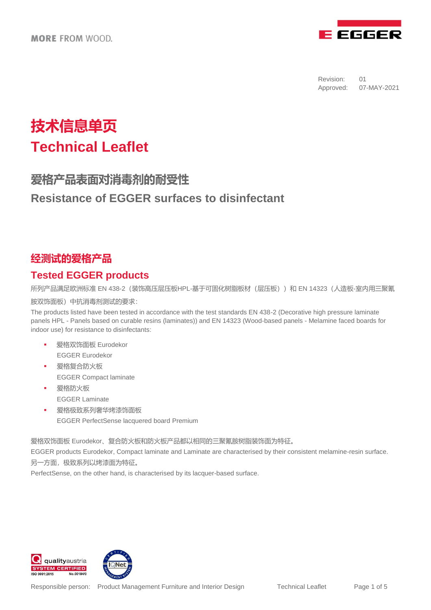

# **技术信息单页 Technical Leaflet**

# **爱格产品表面对消毒剂的耐受性 Resistance of EGGER surfaces to disinfectant**

## **经测试的爱格产品**

## **Tested EGGER products**

所列产品满足欧洲标准 EN 438-2(装饰高压层压板HPL-基于可固化树脂板材(层压板))和 EN 14323(人造板-室内用三聚氰 胺双饰面板)中抗消毒剂测试的要求:

The products listed have been tested in accordance with the test standards EN 438-2 (Decorative high pressure laminate panels HPL - Panels based on curable resins (laminates)) and EN 14323 (Wood-based panels - Melamine faced boards for indoor use) for resistance to disinfectants:

- 爱格双饰面板 Eurodekor EGGER Eurodekor
- 爱格复合防火板 EGGER Compact laminate
- 爱格防火板 EGGER Laminate
- 爱格极致系列奢华烤漆饰面板 EGGER PerfectSense lacquered board Premium

爱格双饰面板 Eurodekor、复合防火板和防火板产品都以相同的三聚氰胺树脂装饰面为特征。

EGGER products Eurodekor, Compact laminate and Laminate are characterised by their consistent melamine-resin surface. 另一方面,极致系列以烤漆面为特征。

PerfectSense, on the other hand, is characterised by its lacquer-based surface.



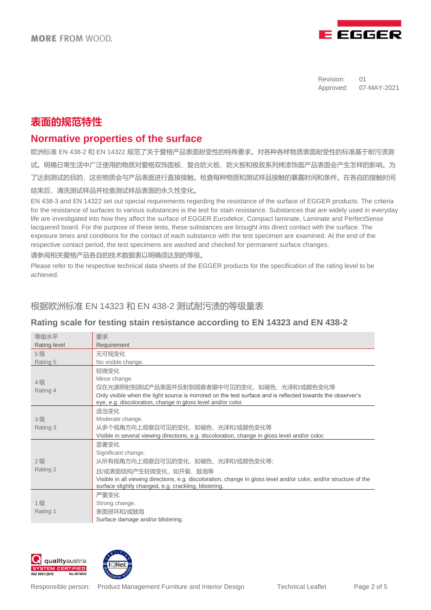

## **表面的规范特性**

### **Normative properties of the surface**

欧洲标准 EN 438-2 和 EN 14322 规范了关于爱格产品表面耐受性的特殊要求。对各种各样物质表面耐受性的标准基于耐污渍测 试。明确日常生活中广泛使用的物质对爱格双饰面板、复合防火板、防火板和极致系列烤漆饰面产品表面会产生怎样的影响。为 了达到测试的目的,这些物质会与产品表面进行直接接触。检查每种物质和测试样品接触的暴露时间和条件。在各自的接触时间 结束后,清洗测试样品并检查测试样品表面的永久性变化。

EN 438-3 and EN 14322 set out special requirements regarding the resistance of the surface of EGGER products. The criteria for the resistance of surfaces to various substances is the test for stain resistance. Substances that are widely used in everyday life are investigated into how they affect the surface of EGGER Eurodekor, Compact laminate, Laminate and PerfectSense lacquered board. For the purpose of these tests, these substances are brought into direct contact with the surface. The exposure times and conditions for the contact of each substance with the test specimen are examined. At the end of the respective contact period, the test specimens are washed and checked for permanent surface changes.

请参阅相关爱格产品各自的技术数据表以明确须达到的等级。

Please refer to the respective technical data sheets of the EGGER products for the specification of the rating level to be achieved.

#### 根据欧洲标准 EN 14323 和 EN 438-2 测试耐污渍的等级量表

#### **Rating scale for testing stain resistance according to EN 14323 and EN 438-2**

| 等级水平           | 要求                                                                                                                                                                                                                                                                      |
|----------------|-------------------------------------------------------------------------------------------------------------------------------------------------------------------------------------------------------------------------------------------------------------------------|
| Rating level   | Requirement                                                                                                                                                                                                                                                             |
| 5级             | 无可视变化                                                                                                                                                                                                                                                                   |
| Rating 5       | No visible change.                                                                                                                                                                                                                                                      |
| 4级<br>Rating 4 | 轻微变化<br>Minor change.<br>仅在光源照射到测试产品表面并反射到观察者眼中可见的变化,如褪色、光泽和/或颜色变化等<br>Only visible when the light source is mirrored on the test surface and is reflected towards the observer's<br>eye, e.g. discoloration, change in gloss level and/or color.                       |
| 3级<br>Rating 3 | 适当变化<br>Moderate change.<br>从多个视角方向上观察且可见的变化,如褪色、光泽和/或颜色变化等.<br>Visible in several viewing directions, e.g. discoloration, change in gloss level and/or color.                                                                                                          |
| 2级<br>Rating 2 | 显著变化<br>Significant change.<br>从所有视角方向上观察且可见的变化,如褪色、光泽和/或颜色变化等;<br>且/或表面结构产生轻微变化,如开裂、鼓泡等<br>Visible in all viewing directions, e.g. discoloration, change in gloss level and/or color, and/or structure of the<br>surface slightly changed, e.g. crackling, blistering. |
| 1级<br>Rating 1 | 严重变化<br>Strong change.<br>表面损坏和/或鼓泡<br>Surface damage and/or blistering.                                                                                                                                                                                                |



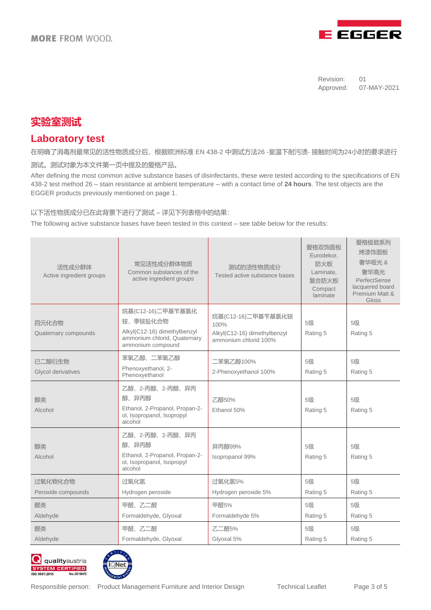

## **实验室测试**

#### **Laboratory test**

在明确了消毒剂最常见的活性物质成分后,根据欧洲标准 EN 438-2 中测试方法26 -室温下耐污渍- 接触时间为24小时的要求进行

测试。测试对象为本文件第一页中提及的爱格产品。

After defining the most common active substance bases of disinfectants, these were tested according to the specifications of EN 438-2 test method 26 – stain resistance at ambient temperature – with a contact time of **24 hours**. The test objects are the EGGER products previously mentioned on page 1.

#### 以下活性物质成分已在此背景下进行了测试 – 详见下列表格中的结果:

The following active substance bases have been tested in this context – see table below for the results:

| 活性成分群体<br>Active ingredient groups | 常见活性成分群体物质<br>Common substances of the<br>active ingredient groups                                                 | 测试的活性物质成分<br>Tested active substance bases                                          | 爱格双饰面板<br>Eurodekor.<br>防火板<br>Laminate.<br>复合防火板<br>Compact<br>laminate | 爱格极致系列<br>烤漆饰面板<br>奢华哑光 &<br>奢华高光<br>PerfectSense<br>lacquered board<br>Premium Matt &<br>Gloss |
|------------------------------------|--------------------------------------------------------------------------------------------------------------------|-------------------------------------------------------------------------------------|--------------------------------------------------------------------------|-------------------------------------------------------------------------------------------------|
| 四元化合物<br>Quaternary compounds      | 烷基(C12-16)二甲基苄基氯化<br>铵,季铵盐化合物<br>Alkyl(C12-16) dimethylbenzyl<br>ammonium chlorid, Quaternary<br>ammonium compound | 烷基(C12-16)二甲基苄基氯化铵<br>100%<br>Alkyl(C12-16) dimethylbenzyl<br>ammonium chlorid 100% | 5级<br>Rating 5                                                           | 5级<br>Rating 5                                                                                  |
| 已二醇衍生物<br>Glycol derivatives       | 苯氧乙醇、二苯氧乙醇<br>Phenoxyethanol, 2-<br>Phenoxyethanol                                                                 | 二苯氧乙醇100%<br>2-Phenoxyethanol 100%                                                  | 5级<br>Rating 5                                                           | 5级<br>Rating 5                                                                                  |
| 醇类<br>Alcohol                      | 乙醇、2-丙醇、2-丙醇、异丙<br>醇、异丙醇<br>Ethanol, 2-Propanol, Propan-2-<br>ol, Isopropanol, Isopropyl<br>alcohol                | 乙醇50%<br>Ethanol 50%                                                                | 5级<br>Rating 5                                                           | 5级<br>Rating 5                                                                                  |
| 醇类<br>Alcohol                      | 乙醇、2-丙醇、2-丙醇、异丙<br>醇、异丙醇<br>Ethanol, 2-Propanol, Propan-2-<br>ol, Isopropanol, Isopropyl<br>alcohol                | 异丙醇99%<br>Isopropanol 99%                                                           | 5级<br>Rating 5                                                           | 5级<br>Rating 5                                                                                  |
| 过氧化物化合物<br>Peroxide compounds      | 过氧化氢<br>Hydrogen peroxide                                                                                          | 过氧化氢5%<br>Hydrogen peroxide 5%                                                      | 5级<br>Rating 5                                                           | 5级<br>Rating 5                                                                                  |
| 醛类<br>Aldehyde                     | 甲醛、乙二醛<br>Formaldehyde, Glyoxal                                                                                    | 甲醛5%<br>Formaldehyde 5%                                                             | 5级<br>Rating 5                                                           | 5级<br>Rating 5                                                                                  |
| 醛类<br>Aldehyde                     | 甲醛、乙二醛<br>Formaldehyde, Glyoxal                                                                                    | 乙二醛5%<br>Glyoxal 5%                                                                 | 5级<br>Rating 5                                                           | 5级<br>Rating 5                                                                                  |



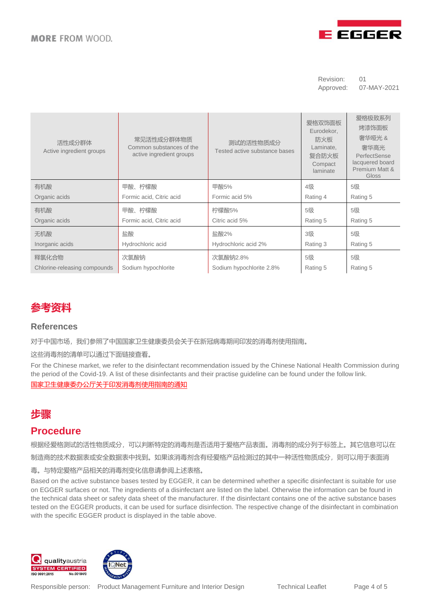

| 活性成分群体<br>Active ingredient groups | 常见活性成分群体物质<br>Common substances of the<br>active ingredient groups | 测试的活性物质成分<br>Tested active substance bases | 爱格双饰面板<br>Eurodekor,<br>防火板<br>Laminate,<br>复合防火板<br>Compact<br>laminate | 爱格极致系列<br>烤漆饰面板<br>奢华哑光 &<br>奢华高光<br>PerfectSense<br>lacquered board<br>Premium Matt &<br>Gloss |
|------------------------------------|--------------------------------------------------------------------|--------------------------------------------|--------------------------------------------------------------------------|-------------------------------------------------------------------------------------------------|
| 有机酸                                | 甲酸、柠檬酸                                                             | 甲酸5%                                       | 4级                                                                       | 5级                                                                                              |
| Organic acids                      | Formic acid, Citric acid                                           | Formic acid 5%                             | Rating 4                                                                 | Rating 5                                                                                        |
| 有机酸                                | 甲酸、柠檬酸                                                             | 柠檬酸5%                                      | 5级                                                                       | 5级                                                                                              |
| Organic acids                      | Formic acid, Citric acid                                           | Citric acid 5%                             | Rating 5                                                                 | Rating 5                                                                                        |
| 无机酸                                | 盐酸                                                                 | 盐酸2%                                       | 3级                                                                       | 5级                                                                                              |
| Inorganic acids                    | Hydrochloric acid                                                  | Hydrochloric acid 2%                       | Rating 3                                                                 | Rating 5                                                                                        |
| 释氯化合物                              | 次氯酸钠                                                               | 次氯酸钠2.8%                                   | 5级                                                                       | 5级                                                                                              |
| Chlorine-releasing compounds       | Sodium hypochlorite                                                | Sodium hypochlorite 2.8%                   | Rating 5                                                                 | Rating 5                                                                                        |



#### **References**

对于中国市场,我们参照了中国国家卫生健康委员会关于在新冠病毒期间印发的消毒剂使用指南。

这些消毒剂的清单可以通过下面链接查看。

For the Chinese market, we refer to the disinfectant recommendation issued by the Chinese National Health Commission during the period of the Covid-19. A list of these disinfectants and their practise guideline can be found under the follow link. [国家卫生健康委办公厅关于印发消毒剂使用指南的通知](https://zwfw.nhc.gov.cn/kzx/tzgg/lyxclxgyhxhxwzscdsjyyswsaqcpdsp_261/202101/t20210118_2030.html)

# **步骤**

#### **Procedure**

根据经爱格测试的活性物质成分,可以判断特定的消毒剂是否适用于爱格产品表面。消毒剂的成分列于标签上。其它信息可以在

制造商的技术数据表或安全数据表中找到。如果该消毒剂含有经爱格产品检测过的其中一种活性物质成分,则可以用于表面消

毒。与特定爱格产品相关的消毒剂变化信息请参阅上述表格。

Based on the active substance bases tested by EGGER, it can be determined whether a specific disinfectant is suitable for use on EGGER surfaces or not. The ingredients of a disinfectant are listed on the label. Otherwise the information can be found in the technical data sheet or safety data sheet of the manufacturer. If the disinfectant contains one of the active substance bases tested on the EGGER products, it can be used for surface disinfection. The respective change of the disinfectant in combination with the specific EGGER product is displayed in the table above.